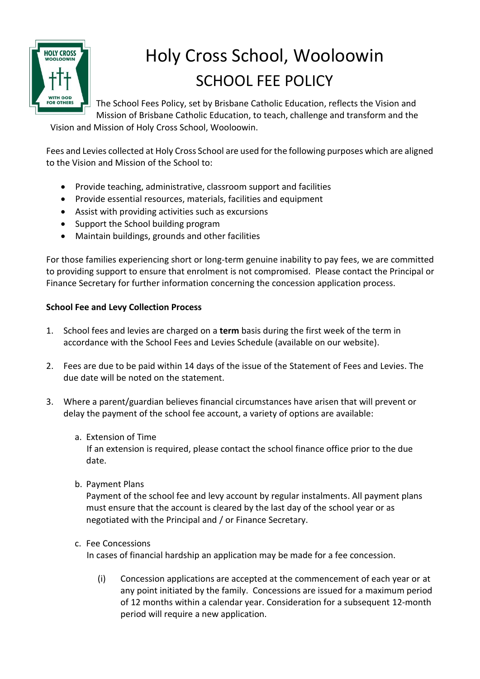

# Holy Cross School, Wooloowin SCHOOL FEE POLICY

The School Fees Policy, set by Brisbane Catholic Education, reflects the Vision and Mission of Brisbane Catholic Education, to teach, challenge and transform and the

Vision and Mission of Holy Cross School, Wooloowin.

Fees and Levies collected at Holy Cross School are used for the following purposes which are aligned to the Vision and Mission of the School to:

- Provide teaching, administrative, classroom support and facilities
- Provide essential resources, materials, facilities and equipment
- Assist with providing activities such as excursions
- Support the School building program
- Maintain buildings, grounds and other facilities

For those families experiencing short or long-term genuine inability to pay fees, we are committed to providing support to ensure that enrolment is not compromised. Please contact the Principal or Finance Secretary for further information concerning the concession application process.

## **School Fee and Levy Collection Process**

- 1. School fees and levies are charged on a **term** basis during the first week of the term in accordance with the School Fees and Levies Schedule (available on our website).
- 2. Fees are due to be paid within 14 days of the issue of the Statement of Fees and Levies. The due date will be noted on the statement.
- 3. Where a parent/guardian believes financial circumstances have arisen that will prevent or delay the payment of the school fee account, a variety of options are available:
	- a. Extension of Time

 If an extension is required, please contact the school finance office prior to the due date.

b. Payment Plans

Payment of the school fee and levy account by regular instalments. All payment plans must ensure that the account is cleared by the last day of the school year or as negotiated with the Principal and / or Finance Secretary.

c. Fee Concessions

In cases of financial hardship an application may be made for a fee concession.

(i) Concession applications are accepted at the commencement of each year or at any point initiated by the family. Concessions are issued for a maximum period of 12 months within a calendar year. Consideration for a subsequent 12-month period will require a new application.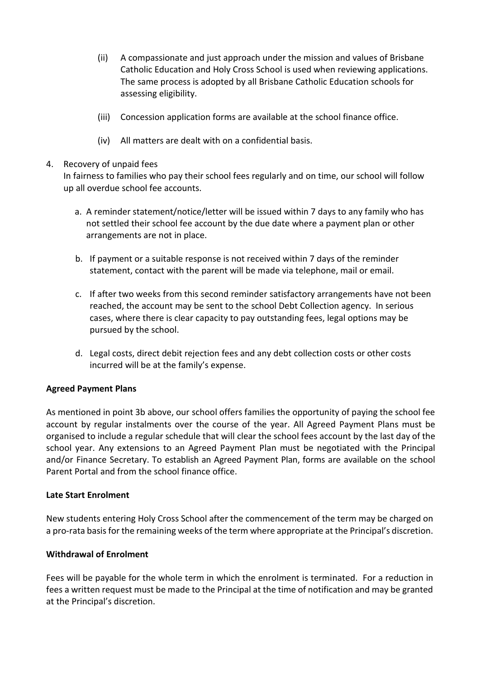- (ii) A compassionate and just approach under the mission and values of Brisbane Catholic Education and Holy Cross School is used when reviewing applications. The same process is adopted by all Brisbane Catholic Education schools for assessing eligibility.
- (iii) Concession application forms are available at the school finance office.
- (iv) All matters are dealt with on a confidential basis.

#### 4. Recovery of unpaid fees

In fairness to families who pay their school fees regularly and on time, our school will follow up all overdue school fee accounts.

- a. A reminder statement/notice/letter will be issued within 7 days to any family who has not settled their school fee account by the due date where a payment plan or other arrangements are not in place.
- b. If payment or a suitable response is not received within 7 days of the reminder statement, contact with the parent will be made via telephone, mail or email.
- c. If after two weeks from this second reminder satisfactory arrangements have not been reached, the account may be sent to the school Debt Collection agency. In serious cases, where there is clear capacity to pay outstanding fees, legal options may be pursued by the school.
- d. Legal costs, direct debit rejection fees and any debt collection costs or other costs incurred will be at the family's expense.

#### **Agreed Payment Plans**

As mentioned in point 3b above, our school offers families the opportunity of paying the school fee account by regular instalments over the course of the year. All Agreed Payment Plans must be organised to include a regular schedule that will clear the school fees account by the last day of the school year. Any extensions to an Agreed Payment Plan must be negotiated with the Principal and/or Finance Secretary. To establish an Agreed Payment Plan, forms are available on the school Parent Portal and from the school finance office.

#### **Late Start Enrolment**

New students entering Holy Cross School after the commencement of the term may be charged on a pro-rata basis for the remaining weeks of the term where appropriate at the Principal's discretion.

#### **Withdrawal of Enrolment**

Fees will be payable for the whole term in which the enrolment is terminated. For a reduction in fees a written request must be made to the Principal at the time of notification and may be granted at the Principal's discretion.